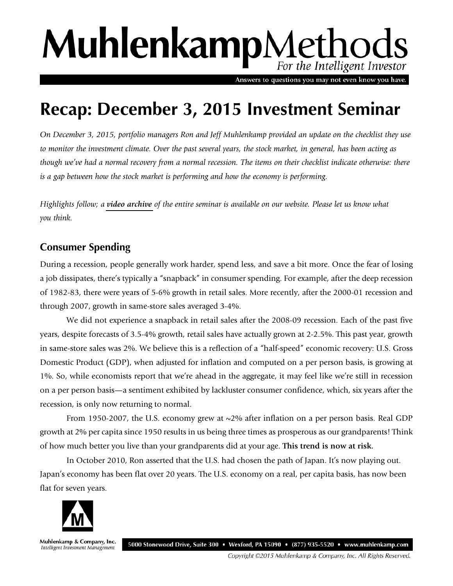# MuhlenkampMethods For the Intelligent Investor

Answers to questions you may not even know you have.

# **Recap: December 3, 2015 Investment Seminar**

*On December 3, 2015, portfolio managers Ron and Jeff Muhlenkamp provided an update on the checklist they use to monitor the investment climate. Over the past several years, the stock market, in general, has been acting as though we've had a normal recovery from a normal recession. The items on their checklist indicate otherwise: there is a gap between how the stock market is performing and how the economy is performing.*

*Highlights follow; a [video archive](http://library.muhlenkamp.com/article/investment-seminar-december-3-2015/) of the entire seminar is available on our website. Please let us know what you think.*

## **Consumer Spending**

During a recession, people generally work harder, spend less, and save a bit more. Once the fear of losing a job dissipates, there's typically a "snapback" in consumer spending. For example, after the deep recession of 1982-83, there were years of 5-6% growth in retail sales. More recently, after the 2000-01 recession and through 2007, growth in same-store sales averaged 3-4%.

We did not experience a snapback in retail sales after the 2008-09 recession. Each of the past five years, despite forecasts of 3.5-4% growth, retail sales have actually grown at 2-2.5%. This past year, growth in same-store sales was 2%. We believe this is a reflection of a "half-speed" economic recovery: U.S. Gross Domestic Product (GDP), when adjusted for inflation and computed on a per person basis, is growing at 1%. So, while economists report that we're ahead in the aggregate, it may feel like we're still in recession on a per person basis—a sentiment exhibited by lackluster consumer confidence, which, six years after the recession, is only now returning to normal.

From 1950-2007, the U.S. economy grew at  $\sim$ 2% after inflation on a per person basis. Real GDP growth at 2% per capita since 1950 results in us being three times as prosperous as our grandparents! Think of how much better you live than your grandparents did at your age. **This trend is now at risk.**

In October 2010, Ron asserted that the U.S. had chosen the path of Japan. It's now playing out. Japan's economy has been flat over 20 years. The U.S. economy on a real, per capita basis, has now been flat for seven years.



Muhlenkamp & Company, Inc. Intelligent Investment Management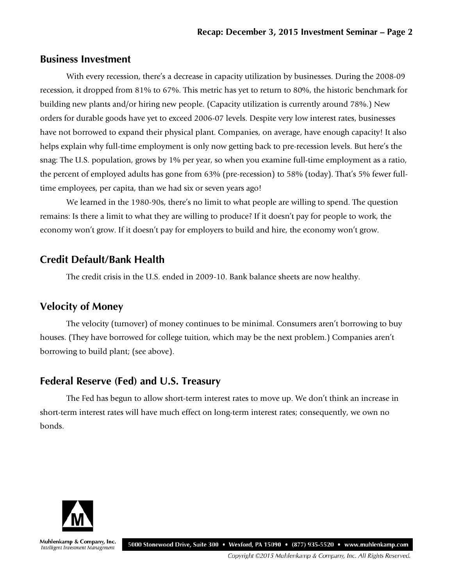#### **Business Investment**

With every recession, there's a decrease in capacity utilization by businesses. During the 2008-09 recession, it dropped from 81% to 67%. This metric has yet to return to 80%, the historic benchmark for building new plants and/or hiring new people. (Capacity utilization is currently around 78%.) New orders for durable goods have yet to exceed 2006-07 levels. Despite very low interest rates, businesses have not borrowed to expand their physical plant. Companies, on average, have enough capacity! It also helps explain why full-time employment is only now getting back to pre-recession levels. But here's the snag: The U.S. population, grows by 1% per year, so when you examine full-time employment as a ratio, the percent of employed adults has gone from 63% (pre-recession) to 58% (today). That's 5% fewer fulltime employees, per capita, than we had six or seven years ago!

We learned in the 1980-90s, there's no limit to what people are willing to spend. The question remains: Is there a limit to what they are willing to produce? If it doesn't pay for people to work, the economy won't grow. If it doesn't pay for employers to build and hire, the economy won't grow.

#### **Credit Default/Bank Health**

The credit crisis in the U.S. ended in 2009-10. Bank balance sheets are now healthy.

### **Velocity of Money**

The velocity (turnover) of money continues to be minimal. Consumers aren't borrowing to buy houses. (They have borrowed for college tuition, which may be the next problem.) Companies aren't borrowing to build plant; (see above).

#### **Federal Reserve (Fed) and U.S. Treasury**

The Fed has begun to allow short-term interest rates to move up. We don't think an increase in short-term interest rates will have much effect on long-term interest rates; consequently, we own no bonds.



Muhlenkamp & Company, Inc. Intelligent Investment Management

5000 Stonewood Drive, Suite 300 • Wexford, PA 15090 • (877) 935-5520 • www.muhlenkamp.com

Copyright ©2015 Muhlenkamp & Company, Inc. All Rights Reserved.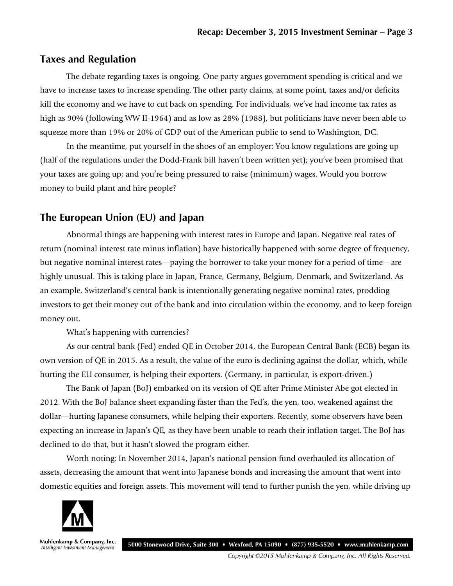#### **Taxes and Regulation**

The debate regarding taxes is ongoing. One party argues government spending is critical and we have to increase taxes to increase spending. The other party claims, at some point, taxes and/or deficits kill the economy and we have to cut back on spending. For individuals, we've had income tax rates as high as 90% (following WW II-1964) and as low as 28% (1988), but politicians have never been able to squeeze more than 19% or 20% of GDP out of the American public to send to Washington, DC.

In the meantime, put yourself in the shoes of an employer: You know regulations are going up (half of the regulations under the Dodd-Frank bill haven't been written yet); you've been promised that your taxes are going up; and you're being pressured to raise (minimum) wages. Would you borrow money to build plant and hire people?

### **The European Union (EU) and Japan**

Abnormal things are happening with interest rates in Europe and Japan. Negative real rates of return (nominal interest rate minus inflation) have historically happened with some degree of frequency, but negative nominal interest rates—paying the borrower to take your money for a period of time—are highly unusual. This is taking place in Japan, France, Germany, Belgium, Denmark, and Switzerland. As an example, Switzerland's central bank is intentionally generating negative nominal rates, prodding investors to get their money out of the bank and into circulation within the economy, and to keep foreign money out.

What's happening with currencies?

As our central bank (Fed) ended QE in October 2014, the European Central Bank (ECB) began its own version of QE in 2015. As a result, the value of the euro is declining against the dollar, which, while hurting the EU consumer, is helping their exporters. (Germany, in particular, is export-driven.)

The Bank of Japan (BoJ) embarked on its version of QE after Prime Minister Abe got elected in 2012. With the BoJ balance sheet expanding faster than the Fed's, the yen, too, weakened against the dollar—hurting Japanese consumers, while helping their exporters. Recently, some observers have been expecting an increase in Japan's QE, as they have been unable to reach their inflation target. The BoJ has declined to do that, but it hasn't slowed the program either.

Worth noting: In November 2014, Japan's national pension fund overhauled its allocation of assets, decreasing the amount that went into Japanese bonds and increasing the amount that went into domestic equities and foreign assets. This movement will tend to further punish the yen, while driving up



Muhlenkamp & Company, Inc. Intelligent Investment Management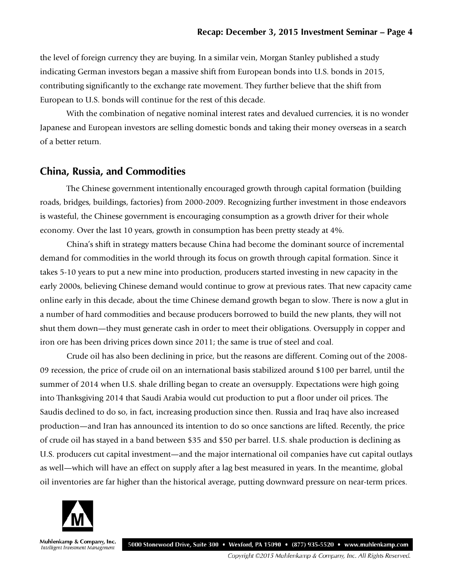the level of foreign currency they are buying. In a similar vein, Morgan Stanley published a study indicating German investors began a massive shift from European bonds into U.S. bonds in 2015, contributing significantly to the exchange rate movement. They further believe that the shift from European to U.S. bonds will continue for the rest of this decade.

With the combination of negative nominal interest rates and devalued currencies, it is no wonder Japanese and European investors are selling domestic bonds and taking their money overseas in a search of a better return.

#### **China, Russia, and Commodities**

The Chinese government intentionally encouraged growth through capital formation (building roads, bridges, buildings, factories) from 2000-2009. Recognizing further investment in those endeavors is wasteful, the Chinese government is encouraging consumption as a growth driver for their whole economy. Over the last 10 years, growth in consumption has been pretty steady at 4%.

China's shift in strategy matters because China had become the dominant source of incremental demand for commodities in the world through its focus on growth through capital formation. Since it takes 5-10 years to put a new mine into production, producers started investing in new capacity in the early 2000s, believing Chinese demand would continue to grow at previous rates. That new capacity came online early in this decade, about the time Chinese demand growth began to slow. There is now a glut in a number of hard commodities and because producers borrowed to build the new plants, they will not shut them down—they must generate cash in order to meet their obligations. Oversupply in copper and iron ore has been driving prices down since 2011; the same is true of steel and coal.

Crude oil has also been declining in price, but the reasons are different. Coming out of the 2008- 09 recession, the price of crude oil on an international basis stabilized around \$100 per barrel, until the summer of 2014 when U.S. shale drilling began to create an oversupply. Expectations were high going into Thanksgiving 2014 that Saudi Arabia would cut production to put a floor under oil prices. The Saudis declined to do so, in fact, increasing production since then. Russia and Iraq have also increased production—and Iran has announced its intention to do so once sanctions are lifted. Recently, the price of crude oil has stayed in a band between \$35 and \$50 per barrel. U.S. shale production is declining as U.S. producers cut capital investment—and the major international oil companies have cut capital outlays as well—which will have an effect on supply after a lag best measured in years. In the meantime, global oil inventories are far higher than the historical average, putting downward pressure on near-term prices.



Muhlenkamp & Company, Inc. Intelligent Investment Management